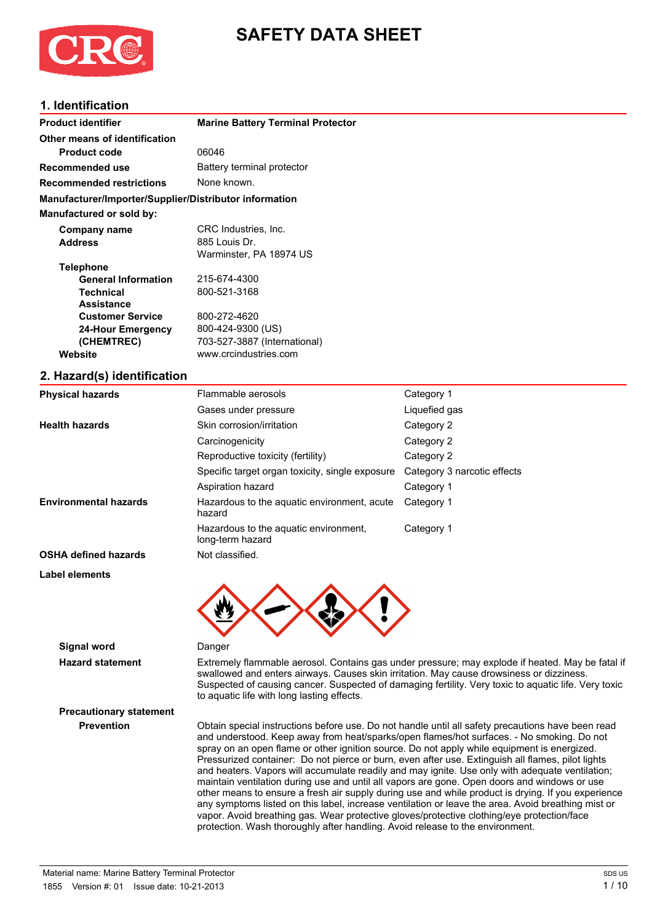

## **SAFETY DATA SHEET**

## **1. Identification**

| <b>Product identifier</b>                              | <b>Marine Battery Terminal Protector</b> |
|--------------------------------------------------------|------------------------------------------|
| Other means of identification                          |                                          |
| <b>Product code</b>                                    | 06046                                    |
| Recommended use                                        | Battery terminal protector               |
| <b>Recommended restrictions</b>                        | None known.                              |
| Manufacturer/Importer/Supplier/Distributor information |                                          |
| Manufactured or sold by:                               |                                          |
| Company name                                           | CRC Industries, Inc.                     |
| <b>Address</b>                                         | 885 Louis Dr.                            |
|                                                        | Warminster, PA 18974 US                  |
| <b>Telephone</b>                                       |                                          |
| <b>General Information</b>                             | 215-674-4300                             |
| <b>Technical</b>                                       | 800-521-3168                             |
| <b>Assistance</b>                                      |                                          |
| <b>Customer Service</b>                                | 800-272-4620                             |
| 24-Hour Emergency                                      | 800-424-9300 (US)                        |
| (CHEMTREC)                                             | 703-527-3887 (International)             |
| Website                                                | www.crcindustries.com                    |
| 2 Hazard(e) identification                             |                                          |

#### **2. Hazard(s) identification**

| <b>Physical hazards</b>                                                               | Flammable aerosols                                        |                             |
|---------------------------------------------------------------------------------------|-----------------------------------------------------------|-----------------------------|
|                                                                                       | Gases under pressure                                      | Liquefied gas               |
| <b>Health hazards</b>                                                                 | Skin corrosion/irritation                                 | Category 2                  |
|                                                                                       | Carcinogenicity                                           | Category 2                  |
|                                                                                       | Reproductive toxicity (fertility)                         | Category 2                  |
|                                                                                       | Specific target organ toxicity, single exposure           | Category 3 narcotic effects |
|                                                                                       | Aspiration hazard                                         | Category 1                  |
| <b>Environmental hazards</b><br>Hazardous to the aquatic environment, acute<br>hazard |                                                           | Category 1                  |
|                                                                                       | Hazardous to the aquatic environment,<br>long-term hazard | Category 1                  |
| <b>OSHA defined hazards</b>                                                           | Not classified.                                           |                             |
| Label elements                                                                        |                                                           |                             |
|                                                                                       |                                                           |                             |



**Signal word** Danger

**Precautionary statement**

**Hazard statement** Extremely flammable aerosol. Contains gas under pressure; may explode if heated. May be fatal if swallowed and enters airways. Causes skin irritation. May cause drowsiness or dizziness. Suspected of causing cancer. Suspected of damaging fertility. Very toxic to aquatic life. Very toxic to aquatic life with long lasting effects.

**Prevention** Obtain special instructions before use. Do not handle until all safety precautions have been read and understood. Keep away from heat/sparks/open flames/hot surfaces. - No smoking. Do not spray on an open flame or other ignition source. Do not apply while equipment is energized. Pressurized container: Do not pierce or burn, even after use. Extinguish all flames, pilot lights and heaters. Vapors will accumulate readily and may ignite. Use only with adequate ventilation; maintain ventilation during use and until all vapors are gone. Open doors and windows or use other means to ensure a fresh air supply during use and while product is drying. If you experience any symptoms listed on this label, increase ventilation or leave the area. Avoid breathing mist or vapor. Avoid breathing gas. Wear protective gloves/protective clothing/eye protection/face protection. Wash thoroughly after handling. Avoid release to the environment.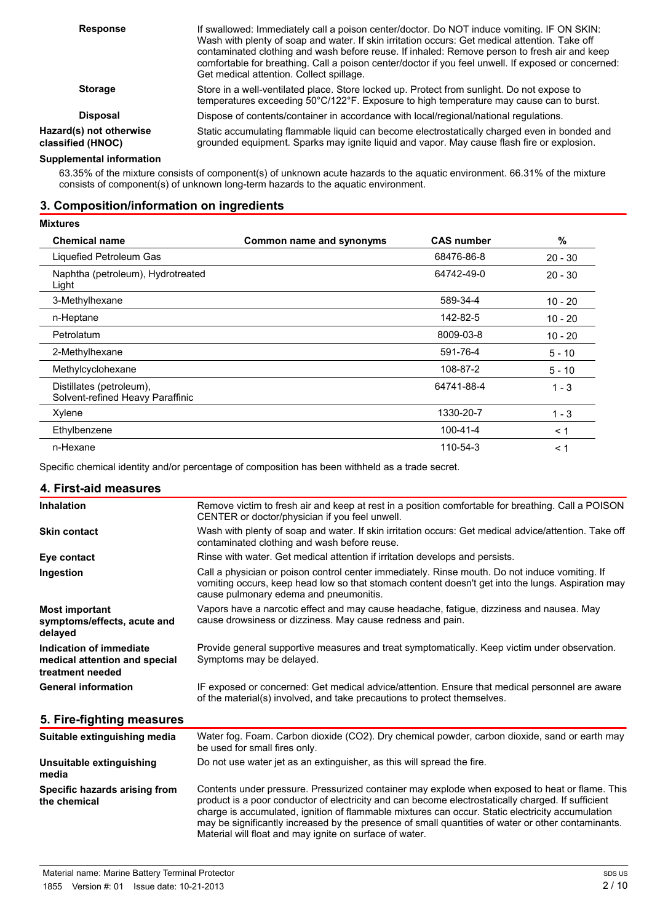| <b>Response</b>                              | If swallowed: Immediately call a poison center/doctor. Do NOT induce vomiting. IF ON SKIN:<br>Wash with plenty of soap and water. If skin irritation occurs: Get medical attention. Take off<br>contaminated clothing and wash before reuse. If inhaled: Remove person to fresh air and keep<br>comfortable for breathing. Call a poison center/doctor if you feel unwell. If exposed or concerned:<br>Get medical attention. Collect spillage. |
|----------------------------------------------|-------------------------------------------------------------------------------------------------------------------------------------------------------------------------------------------------------------------------------------------------------------------------------------------------------------------------------------------------------------------------------------------------------------------------------------------------|
| <b>Storage</b>                               | Store in a well-ventilated place. Store locked up. Protect from sunlight. Do not expose to<br>temperatures exceeding 50°C/122°F. Exposure to high temperature may cause can to burst.                                                                                                                                                                                                                                                           |
| <b>Disposal</b>                              | Dispose of contents/container in accordance with local/regional/national regulations.                                                                                                                                                                                                                                                                                                                                                           |
| Hazard(s) not otherwise<br>classified (HNOC) | Static accumulating flammable liquid can become electrostatically charged even in bonded and<br>grounded equipment. Sparks may ignite liquid and vapor. May cause flash fire or explosion.                                                                                                                                                                                                                                                      |
|                                              |                                                                                                                                                                                                                                                                                                                                                                                                                                                 |

#### **Supplemental information**

63.35% of the mixture consists of component(s) of unknown acute hazards to the aquatic environment. 66.31% of the mixture consists of component(s) of unknown long-term hazards to the aquatic environment.

#### **3. Composition/information on ingredients**

| <b>Mixtures</b>                                              |                          |                   |           |
|--------------------------------------------------------------|--------------------------|-------------------|-----------|
| <b>Chemical name</b>                                         | Common name and synonyms | <b>CAS number</b> | %         |
| Liquefied Petroleum Gas                                      |                          | 68476-86-8        | $20 - 30$ |
| Naphtha (petroleum), Hydrotreated<br>Light                   |                          | 64742-49-0        | $20 - 30$ |
| 3-Methylhexane                                               |                          | 589-34-4          | $10 - 20$ |
| n-Heptane                                                    |                          | 142-82-5          | $10 - 20$ |
| Petrolatum                                                   |                          | 8009-03-8         | $10 - 20$ |
| 2-Methylhexane                                               |                          | 591-76-4          | $5 - 10$  |
| Methylcyclohexane                                            |                          | 108-87-2          | $5 - 10$  |
| Distillates (petroleum),<br>Solvent-refined Heavy Paraffinic |                          | 64741-88-4        | $1 - 3$   |
| Xylene                                                       |                          | 1330-20-7         | $1 - 3$   |
| Ethylbenzene                                                 |                          | $100 - 41 - 4$    | $\leq 1$  |
| n-Hexane                                                     |                          | 110-54-3          | < 1       |

Specific chemical identity and/or percentage of composition has been withheld as a trade secret.

#### **4. First-aid measures**

| <b>Inhalation</b>                                                            | Remove victim to fresh air and keep at rest in a position comfortable for breathing. Call a POISON<br>CENTER or doctor/physician if you feel unwell.                                                                                          |
|------------------------------------------------------------------------------|-----------------------------------------------------------------------------------------------------------------------------------------------------------------------------------------------------------------------------------------------|
| <b>Skin contact</b>                                                          | Wash with plenty of soap and water. If skin irritation occurs: Get medical advice/attention. Take off<br>contaminated clothing and wash before reuse.                                                                                         |
| Eye contact                                                                  | Rinse with water. Get medical attention if irritation develops and persists.                                                                                                                                                                  |
| Ingestion                                                                    | Call a physician or poison control center immediately. Rinse mouth. Do not induce vomiting. If<br>vomiting occurs, keep head low so that stomach content doesn't get into the lungs. Aspiration may<br>cause pulmonary edema and pneumonitis. |
| <b>Most important</b><br>symptoms/effects, acute and<br>delayed              | Vapors have a narcotic effect and may cause headache, fatigue, dizziness and nausea. May<br>cause drowsiness or dizziness. May cause redness and pain.                                                                                        |
| Indication of immediate<br>medical attention and special<br>treatment needed | Provide general supportive measures and treat symptomatically. Keep victim under observation.<br>Symptoms may be delayed.                                                                                                                     |
| <b>General information</b>                                                   | IF exposed or concerned: Get medical advice/attention. Ensure that medical personnel are aware<br>of the material(s) involved, and take precautions to protect themselves.                                                                    |

## **5. Fire-fighting measures**

| Suitable extinguishing media                  | Water fog. Foam. Carbon dioxide (CO2). Dry chemical powder, carbon dioxide, sand or earth may<br>be used for small fires only.                                                                                                                                                                                                                                                                                                                                            |
|-----------------------------------------------|---------------------------------------------------------------------------------------------------------------------------------------------------------------------------------------------------------------------------------------------------------------------------------------------------------------------------------------------------------------------------------------------------------------------------------------------------------------------------|
| Unsuitable extinguishing<br>media             | Do not use water jet as an extinguisher, as this will spread the fire.                                                                                                                                                                                                                                                                                                                                                                                                    |
| Specific hazards arising from<br>the chemical | Contents under pressure. Pressurized container may explode when exposed to heat or flame. This<br>product is a poor conductor of electricity and can become electrostatically charged. If sufficient<br>charge is accumulated, ignition of flammable mixtures can occur. Static electricity accumulation<br>may be significantly increased by the presence of small quantities of water or other contaminants.<br>Material will float and may ignite on surface of water. |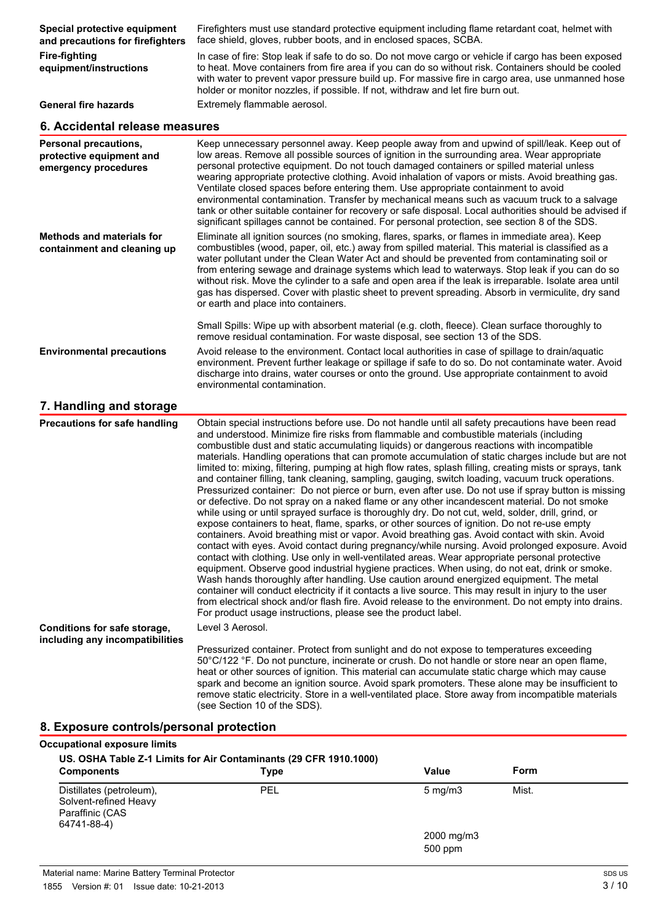| Special protective equipment<br>and precautions for firefighters          | Firefighters must use standard protective equipment including flame retardant coat, helmet with<br>face shield, gloves, rubber boots, and in enclosed spaces, SCBA.                                                                                                                                                                                                                                                                                                                                                                                                                                                                                                                                                                                                                             |  |
|---------------------------------------------------------------------------|-------------------------------------------------------------------------------------------------------------------------------------------------------------------------------------------------------------------------------------------------------------------------------------------------------------------------------------------------------------------------------------------------------------------------------------------------------------------------------------------------------------------------------------------------------------------------------------------------------------------------------------------------------------------------------------------------------------------------------------------------------------------------------------------------|--|
| <b>Fire-fighting</b><br>equipment/instructions                            | In case of fire: Stop leak if safe to do so. Do not move cargo or vehicle if cargo has been exposed<br>to heat. Move containers from fire area if you can do so without risk. Containers should be cooled<br>with water to prevent vapor pressure build up. For massive fire in cargo area, use unmanned hose<br>holder or monitor nozzles, if possible. If not, withdraw and let fire burn out.                                                                                                                                                                                                                                                                                                                                                                                                |  |
| <b>General fire hazards</b>                                               | Extremely flammable aerosol.                                                                                                                                                                                                                                                                                                                                                                                                                                                                                                                                                                                                                                                                                                                                                                    |  |
| 6. Accidental release measures                                            |                                                                                                                                                                                                                                                                                                                                                                                                                                                                                                                                                                                                                                                                                                                                                                                                 |  |
| Personal precautions,<br>protective equipment and<br>emergency procedures | Keep unnecessary personnel away. Keep people away from and upwind of spill/leak. Keep out of<br>low areas. Remove all possible sources of ignition in the surrounding area. Wear appropriate<br>personal protective equipment. Do not touch damaged containers or spilled material unless<br>wearing appropriate protective clothing. Avoid inhalation of vapors or mists. Avoid breathing gas.<br>Ventilate closed spaces before entering them. Use appropriate containment to avoid<br>environmental contamination. Transfer by mechanical means such as vacuum truck to a salvage<br>tank or other suitable container for recovery or safe disposal. Local authorities should be advised if<br>significant spillages cannot be contained. For personal protection, see section 8 of the SDS. |  |

| Methods and materials for<br>containment and cleaning up | Eliminate all ignition sources (no smoking, flares, sparks, or flames in immediate area). Keep<br>combustibles (wood, paper, oil, etc.) away from spilled material. This material is classified as a<br>water pollutant under the Clean Water Act and should be prevented from contaminating soil or<br>from entering sewage and drainage systems which lead to waterways. Stop leak if you can do so<br>without risk. Move the cylinder to a safe and open area if the leak is irreparable. Isolate area until<br>gas has dispersed. Cover with plastic sheet to prevent spreading. Absorb in vermiculite, dry sand<br>or earth and place into containers. |
|----------------------------------------------------------|-------------------------------------------------------------------------------------------------------------------------------------------------------------------------------------------------------------------------------------------------------------------------------------------------------------------------------------------------------------------------------------------------------------------------------------------------------------------------------------------------------------------------------------------------------------------------------------------------------------------------------------------------------------|
|                                                          |                                                                                                                                                                                                                                                                                                                                                                                                                                                                                                                                                                                                                                                             |

Small Spills: Wipe up with absorbent material (e.g. cloth, fleece). Clean surface thoroughly to remove residual contamination. For waste disposal, see section 13 of the SDS. **Environmental precautions** Avoid release to the environment. Contact local authorities in case of spillage to drain/aquatic environment. Prevent further leakage or spillage if safe to do so. Do not contaminate water. Avoid

environmental contamination.

## **7. Handling and storage**

**Precautions for safe handling** Obtain special instructions before use. Do not handle until all safety precautions have been read and understood. Minimize fire risks from flammable and combustible materials (including combustible dust and static accumulating liquids) or dangerous reactions with incompatible materials. Handling operations that can promote accumulation of static charges include but are not limited to: mixing, filtering, pumping at high flow rates, splash filling, creating mists or sprays, tank and container filling, tank cleaning, sampling, gauging, switch loading, vacuum truck operations. Pressurized container: Do not pierce or burn, even after use. Do not use if spray button is missing or defective. Do not spray on a naked flame or any other incandescent material. Do not smoke while using or until sprayed surface is thoroughly dry. Do not cut, weld, solder, drill, grind, or expose containers to heat, flame, sparks, or other sources of ignition. Do not re-use empty containers. Avoid breathing mist or vapor. Avoid breathing gas. Avoid contact with skin. Avoid contact with eyes. Avoid contact during pregnancy/while nursing. Avoid prolonged exposure. Avoid contact with clothing. Use only in well-ventilated areas. Wear appropriate personal protective equipment. Observe good industrial hygiene practices. When using, do not eat, drink or smoke. Wash hands thoroughly after handling. Use caution around energized equipment. The metal container will conduct electricity if it contacts a live source. This may result in injury to the user from electrical shock and/or flash fire. Avoid release to the environment. Do not empty into drains. For product usage instructions, please see the product label. **Conditions for safe storage, including any incompatibilities** Level 3 Aerosol. Pressurized container. Protect from sunlight and do not expose to temperatures exceeding 50°C/122 °F. Do not puncture, incinerate or crush. Do not handle or store near an open flame,

heat or other sources of ignition. This material can accumulate static charge which may cause spark and become an ignition source. Avoid spark promoters. These alone may be insufficient to remove static electricity. Store in a well-ventilated place. Store away from incompatible materials (see Section 10 of the SDS).

discharge into drains, water courses or onto the ground. Use appropriate containment to avoid

#### **8. Exposure controls/personal protection**

| <b>Occupational exposure limits</b><br>US. OSHA Table Z-1 Limits for Air Contaminants (29 CFR 1910.1000) |                         |            |             |  |
|----------------------------------------------------------------------------------------------------------|-------------------------|------------|-------------|--|
| <b>Components</b>                                                                                        | Type                    | Value      | <b>Form</b> |  |
| Distillates (petroleum),<br>Solvent-refined Heavy<br>Paraffinic (CAS<br>64741-88-4)                      | PEL<br>$5 \text{ mg/m}$ | Mist.      |             |  |
|                                                                                                          |                         | 2000 mg/m3 |             |  |
|                                                                                                          |                         | 500 ppm    |             |  |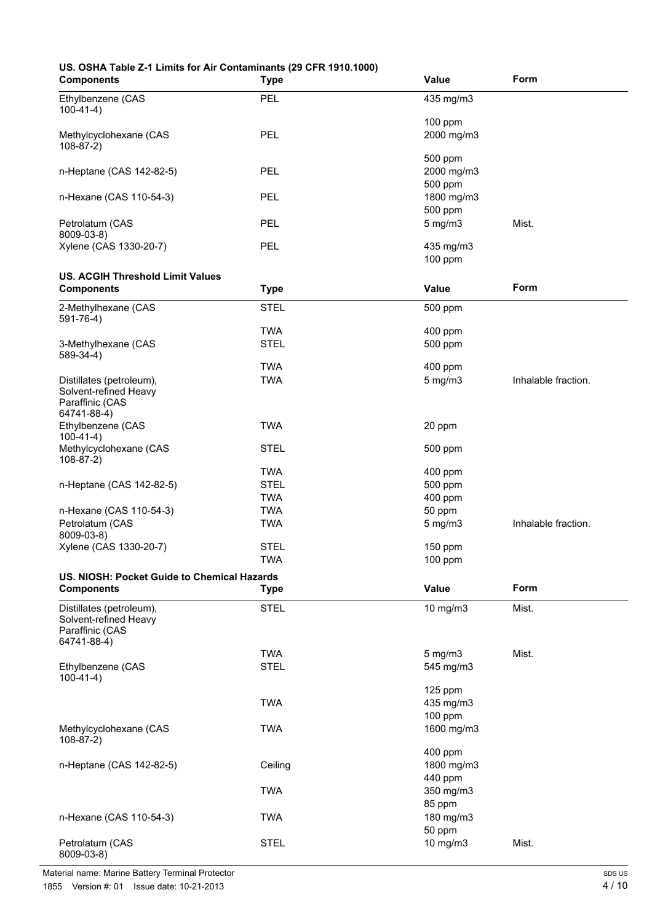# **US. OSHA Table Z-1 Limits for Air Contaminants (29 CFR 1910.1000)**

| <b>Components</b>                                 | <b>Type</b> | Value                 | Form                |
|---------------------------------------------------|-------------|-----------------------|---------------------|
| Ethylbenzene (CAS                                 | <b>PEL</b>  | 435 mg/m3             |                     |
| $100-41-4)$                                       |             |                       |                     |
|                                                   |             | 100 ppm               |                     |
| Methylcyclohexane (CAS                            | PEL         | 2000 mg/m3            |                     |
| $108-87-2)$                                       |             |                       |                     |
|                                                   |             | 500 ppm               |                     |
| n-Heptane (CAS 142-82-5)                          | PEL         | 2000 mg/m3            |                     |
| n-Hexane (CAS 110-54-3)                           | PEL         | 500 ppm<br>1800 mg/m3 |                     |
|                                                   |             | 500 ppm               |                     |
| Petrolatum (CAS                                   | PEL         | $5$ mg/m $3$          | Mist.               |
| 8009-03-8)                                        |             |                       |                     |
| Xylene (CAS 1330-20-7)                            | PEL         | 435 mg/m3             |                     |
|                                                   |             | 100 ppm               |                     |
| <b>US. ACGIH Threshold Limit Values</b>           |             |                       |                     |
| <b>Components</b>                                 | <b>Type</b> | Value                 | Form                |
| 2-Methylhexane (CAS                               | <b>STEL</b> | 500 ppm               |                     |
| $591 - 76 - 4$ )                                  |             |                       |                     |
|                                                   | <b>TWA</b>  | 400 ppm               |                     |
| 3-Methylhexane (CAS                               | <b>STEL</b> | 500 ppm               |                     |
| $589-34-4)$                                       |             |                       |                     |
|                                                   | <b>TWA</b>  | 400 ppm               |                     |
| Distillates (petroleum),<br>Solvent-refined Heavy | <b>TWA</b>  | $5$ mg/m $3$          | Inhalable fraction. |
| Paraffinic (CAS                                   |             |                       |                     |
| 64741-88-4)                                       |             |                       |                     |
| Ethylbenzene (CAS                                 | <b>TWA</b>  | 20 ppm                |                     |
| $100-41-4)$                                       |             |                       |                     |
| Methylcyclohexane (CAS                            | <b>STEL</b> | 500 ppm               |                     |
| $108-87-2)$                                       | <b>TWA</b>  | 400 ppm               |                     |
| n-Heptane (CAS 142-82-5)                          | <b>STEL</b> | 500 ppm               |                     |
|                                                   | <b>TWA</b>  | 400 ppm               |                     |
| n-Hexane (CAS 110-54-3)                           | <b>TWA</b>  | 50 ppm                |                     |
| Petrolatum (CAS                                   | <b>TWA</b>  | $5$ mg/m $3$          | Inhalable fraction. |
| 8009-03-8)                                        |             |                       |                     |
| Xylene (CAS 1330-20-7)                            | <b>STEL</b> | 150 ppm               |                     |
|                                                   | <b>TWA</b>  | 100 ppm               |                     |
| US. NIOSH: Pocket Guide to Chemical Hazards       |             |                       |                     |
| <b>Components</b>                                 | <b>Type</b> | Value                 | Form                |
| Distillates (petroleum),                          | <b>STEL</b> | 10 mg/m3              | Mist.               |
| Solvent-refined Heavy                             |             |                       |                     |
| Paraffinic (CAS                                   |             |                       |                     |
| 64741-88-4)                                       | <b>TWA</b>  | $5$ mg/m $3$          | Mist.               |
| Ethylbenzene (CAS                                 | <b>STEL</b> | 545 mg/m3             |                     |
| $100-41-4)$                                       |             |                       |                     |
|                                                   |             | 125 ppm               |                     |
|                                                   | <b>TWA</b>  | 435 mg/m3             |                     |
|                                                   |             | 100 ppm               |                     |
| Methylcyclohexane (CAS                            | <b>TWA</b>  | 1600 mg/m3            |                     |
| $108-87-2)$                                       |             |                       |                     |
|                                                   |             | 400 ppm               |                     |
| n-Heptane (CAS 142-82-5)                          | Ceiling     | 1800 mg/m3            |                     |
|                                                   | <b>TWA</b>  | 440 ppm<br>350 mg/m3  |                     |
|                                                   |             | 85 ppm                |                     |
| n-Hexane (CAS 110-54-3)                           | <b>TWA</b>  | 180 mg/m3             |                     |
|                                                   |             | 50 ppm                |                     |
| Petrolatum (CAS                                   | <b>STEL</b> | 10 mg/m3              | Mist.               |
| 8009-03-8)                                        |             |                       |                     |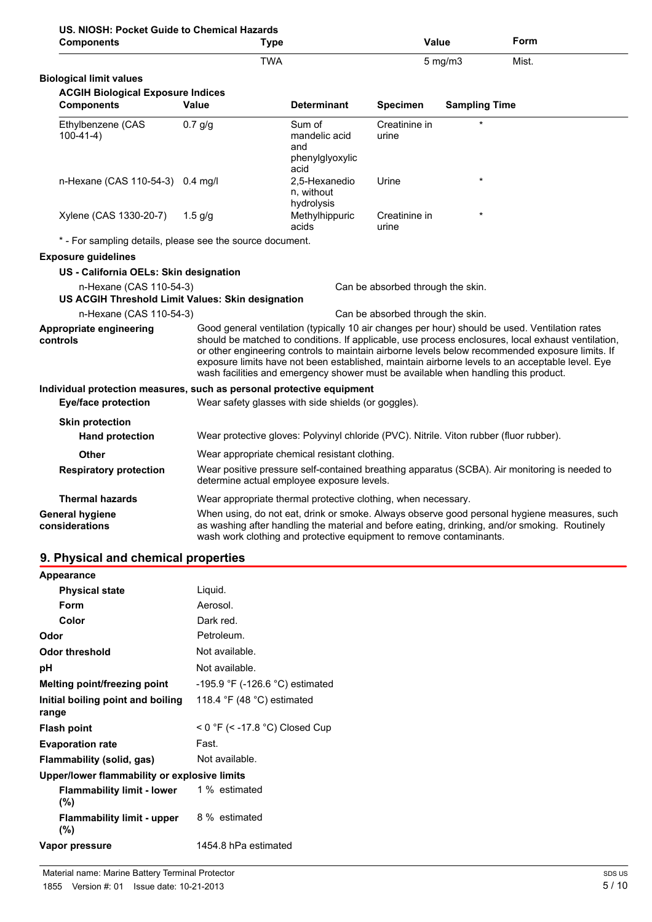| US. NIOSH: Pocket Guide to Chemical Hazards<br><b>Components</b>             | Type                                                                                                                                                                                                                                                                                                                                                                                                                                                                                             |                                                           | Value                             |                      | Form                                                                                                                                                                                         |
|------------------------------------------------------------------------------|--------------------------------------------------------------------------------------------------------------------------------------------------------------------------------------------------------------------------------------------------------------------------------------------------------------------------------------------------------------------------------------------------------------------------------------------------------------------------------------------------|-----------------------------------------------------------|-----------------------------------|----------------------|----------------------------------------------------------------------------------------------------------------------------------------------------------------------------------------------|
|                                                                              | <b>TWA</b>                                                                                                                                                                                                                                                                                                                                                                                                                                                                                       |                                                           |                                   | $5$ mg/m $3$         | Mist.                                                                                                                                                                                        |
| <b>Biological limit values</b>                                               |                                                                                                                                                                                                                                                                                                                                                                                                                                                                                                  |                                                           |                                   |                      |                                                                                                                                                                                              |
| <b>ACGIH Biological Exposure Indices</b>                                     |                                                                                                                                                                                                                                                                                                                                                                                                                                                                                                  |                                                           |                                   |                      |                                                                                                                                                                                              |
| <b>Components</b>                                                            | <b>Value</b>                                                                                                                                                                                                                                                                                                                                                                                                                                                                                     | <b>Determinant</b>                                        | <b>Specimen</b>                   | <b>Sampling Time</b> |                                                                                                                                                                                              |
| Ethylbenzene (CAS<br>$100-41-4)$                                             | $0.7$ g/g                                                                                                                                                                                                                                                                                                                                                                                                                                                                                        | Sum of<br>mandelic acid<br>and<br>phenylglyoxylic<br>acid | Creatinine in<br>urine            |                      |                                                                                                                                                                                              |
| n-Hexane (CAS 110-54-3) 0.4 mg/l                                             |                                                                                                                                                                                                                                                                                                                                                                                                                                                                                                  | 2,5-Hexanedio<br>n, without<br>hydrolysis                 | Urine                             | $\star$              |                                                                                                                                                                                              |
| Xylene (CAS 1330-20-7)                                                       | $1.5$ g/g                                                                                                                                                                                                                                                                                                                                                                                                                                                                                        | Methylhippuric<br>acids                                   | Creatinine in<br>urine            |                      |                                                                                                                                                                                              |
| * - For sampling details, please see the source document.                    |                                                                                                                                                                                                                                                                                                                                                                                                                                                                                                  |                                                           |                                   |                      |                                                                                                                                                                                              |
| <b>Exposure guidelines</b>                                                   |                                                                                                                                                                                                                                                                                                                                                                                                                                                                                                  |                                                           |                                   |                      |                                                                                                                                                                                              |
| US - California OELs: Skin designation                                       |                                                                                                                                                                                                                                                                                                                                                                                                                                                                                                  |                                                           |                                   |                      |                                                                                                                                                                                              |
| n-Hexane (CAS 110-54-3)<br>US ACGIH Threshold Limit Values: Skin designation |                                                                                                                                                                                                                                                                                                                                                                                                                                                                                                  |                                                           | Can be absorbed through the skin. |                      |                                                                                                                                                                                              |
| n-Hexane (CAS 110-54-3)                                                      |                                                                                                                                                                                                                                                                                                                                                                                                                                                                                                  |                                                           | Can be absorbed through the skin. |                      |                                                                                                                                                                                              |
| <b>Appropriate engineering</b><br>controls                                   | Good general ventilation (typically 10 air changes per hour) should be used. Ventilation rates<br>should be matched to conditions. If applicable, use process enclosures, local exhaust ventilation,<br>or other engineering controls to maintain airborne levels below recommended exposure limits. If<br>exposure limits have not been established, maintain airborne levels to an acceptable level. Eye<br>wash facilities and emergency shower must be available when handling this product. |                                                           |                                   |                      |                                                                                                                                                                                              |
| Individual protection measures, such as personal protective equipment        |                                                                                                                                                                                                                                                                                                                                                                                                                                                                                                  |                                                           |                                   |                      |                                                                                                                                                                                              |
| <b>Eye/face protection</b>                                                   | Wear safety glasses with side shields (or goggles).                                                                                                                                                                                                                                                                                                                                                                                                                                              |                                                           |                                   |                      |                                                                                                                                                                                              |
| <b>Skin protection</b>                                                       |                                                                                                                                                                                                                                                                                                                                                                                                                                                                                                  |                                                           |                                   |                      |                                                                                                                                                                                              |
| <b>Hand protection</b>                                                       | Wear protective gloves: Polyvinyl chloride (PVC). Nitrile. Viton rubber (fluor rubber).                                                                                                                                                                                                                                                                                                                                                                                                          |                                                           |                                   |                      |                                                                                                                                                                                              |
| <b>Other</b>                                                                 | Wear appropriate chemical resistant clothing.                                                                                                                                                                                                                                                                                                                                                                                                                                                    |                                                           |                                   |                      |                                                                                                                                                                                              |
| <b>Respiratory protection</b>                                                | determine actual employee exposure levels.                                                                                                                                                                                                                                                                                                                                                                                                                                                       |                                                           |                                   |                      | Wear positive pressure self-contained breathing apparatus (SCBA). Air monitoring is needed to                                                                                                |
| <b>Thermal hazards</b>                                                       | Wear appropriate thermal protective clothing, when necessary.                                                                                                                                                                                                                                                                                                                                                                                                                                    |                                                           |                                   |                      |                                                                                                                                                                                              |
| <b>General hygiene</b><br>considerations                                     | wash work clothing and protective equipment to remove contaminants.                                                                                                                                                                                                                                                                                                                                                                                                                              |                                                           |                                   |                      | When using, do not eat, drink or smoke. Always observe good personal hygiene measures, such<br>as washing after handling the material and before eating, drinking, and/or smoking. Routinely |

## **9. Physical and chemical properties**

| Appearance                                                |                                                                    |
|-----------------------------------------------------------|--------------------------------------------------------------------|
| <b>Physical state</b>                                     | Liguid.                                                            |
| Form                                                      | Aerosol.                                                           |
| Color                                                     | Dark red.                                                          |
| Odor                                                      | Petroleum.                                                         |
| Odor threshold                                            | Not available.                                                     |
| рH                                                        | Not available.                                                     |
| Melting point/freezing point                              | -195.9 °F (-126.6 °C) estimated                                    |
| Initial boiling point and boiling<br>range                | 118.4 $\degree$ F (48 $\degree$ C) estimated                       |
| <b>Flash point</b>                                        | < $0 \text{ }^{\circ}$ F (< -17.8 $\text{ }^{\circ}$ C) Closed Cup |
| <b>Evaporation rate</b>                                   | Fast.                                                              |
| Flammability (solid, gas)                                 | Not available.                                                     |
| Upper/lower flammability or explosive limits              |                                                                    |
| <b>Flammability limit - lower</b> 1% estimated<br>$(\% )$ |                                                                    |
| <b>Flammability limit - upper</b><br>$(\% )$              | 8 % estimated                                                      |
| Vapor pressure                                            | 1454.8 hPa estimated                                               |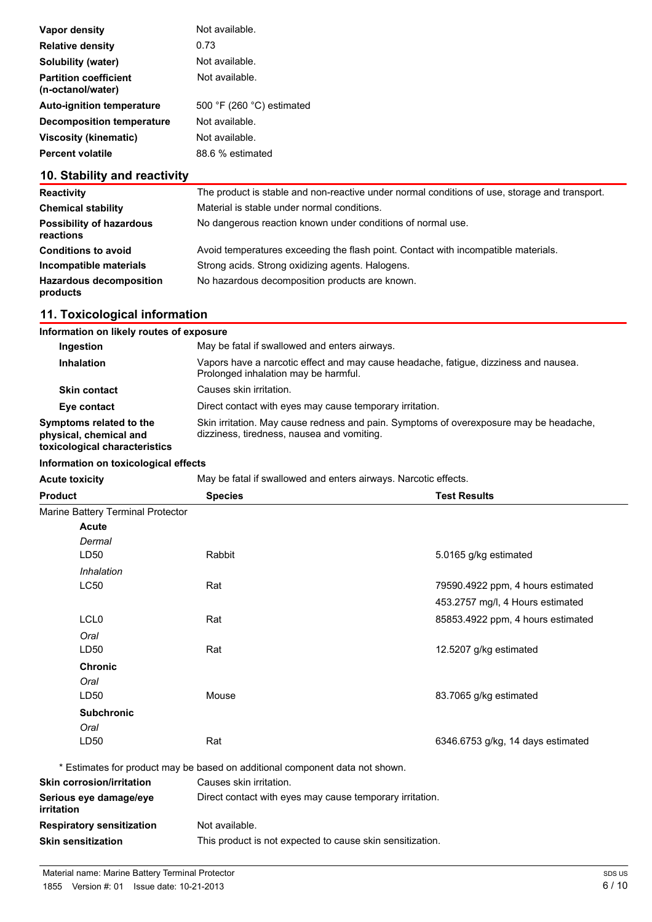| Vapor density                                     | Not available.                              |
|---------------------------------------------------|---------------------------------------------|
| <b>Relative density</b>                           | 0.73                                        |
| Solubility (water)                                | Not available.                              |
| <b>Partition coefficient</b><br>(n-octanol/water) | Not available.                              |
| <b>Auto-ignition temperature</b>                  | 500 $\degree$ F (260 $\degree$ C) estimated |
| Decomposition temperature                         | Not available.                              |
| <b>Viscosity (kinematic)</b>                      | Not available.                              |
| <b>Percent volatile</b>                           | 88.6 % estimated                            |

## **10. Stability and reactivity**

| <b>Reactivity</b>                            | The product is stable and non-reactive under normal conditions of use, storage and transport. |
|----------------------------------------------|-----------------------------------------------------------------------------------------------|
| <b>Chemical stability</b>                    | Material is stable under normal conditions.                                                   |
| <b>Possibility of hazardous</b><br>reactions | No dangerous reaction known under conditions of normal use.                                   |
| <b>Conditions to avoid</b>                   | Avoid temperatures exceeding the flash point. Contact with incompatible materials.            |
| Incompatible materials                       | Strong acids. Strong oxidizing agents. Halogens.                                              |
| <b>Hazardous decomposition</b><br>products   | No hazardous decomposition products are known.                                                |

## **11. Toxicological information**

| Information on likely routes of exposure                                           |                                                                                                                                      |
|------------------------------------------------------------------------------------|--------------------------------------------------------------------------------------------------------------------------------------|
| <b>Ingestion</b>                                                                   | May be fatal if swallowed and enters airways.                                                                                        |
| <b>Inhalation</b>                                                                  | Vapors have a narcotic effect and may cause headache, fatigue, dizziness and nausea.<br>Prolonged inhalation may be harmful.         |
| <b>Skin contact</b>                                                                | Causes skin irritation.                                                                                                              |
| Eye contact                                                                        | Direct contact with eyes may cause temporary irritation.                                                                             |
| Symptoms related to the<br>physical, chemical and<br>toxicological characteristics | Skin irritation. May cause redness and pain. Symptoms of overexposure may be headache,<br>dizziness, tiredness, nausea and vomiting. |

#### **Information on toxicological effects**

Acute toxicity **May be fatal if swallowed and enters airways. Narcotic effects.** 

| <b>Product</b>                       | <b>Test Results</b><br><b>Species</b>                                        |                                   |
|--------------------------------------|------------------------------------------------------------------------------|-----------------------------------|
| Marine Battery Terminal Protector    |                                                                              |                                   |
| Acute                                |                                                                              |                                   |
| Dermal                               |                                                                              |                                   |
| LD50                                 | Rabbit                                                                       | 5.0165 g/kg estimated             |
| Inhalation                           |                                                                              |                                   |
| LC50                                 | Rat                                                                          | 79590.4922 ppm, 4 hours estimated |
|                                      |                                                                              | 453.2757 mg/l, 4 Hours estimated  |
| LCL <sub>0</sub>                     | Rat                                                                          | 85853.4922 ppm, 4 hours estimated |
| Oral                                 |                                                                              |                                   |
| LD50                                 | Rat                                                                          | 12.5207 g/kg estimated            |
| <b>Chronic</b>                       |                                                                              |                                   |
| Oral                                 |                                                                              |                                   |
| LD <sub>50</sub>                     | Mouse                                                                        | 83.7065 g/kg estimated            |
| <b>Subchronic</b>                    |                                                                              |                                   |
| Oral                                 |                                                                              |                                   |
| LD50                                 | Rat                                                                          | 6346.6753 g/kg, 14 days estimated |
|                                      | * Estimates for product may be based on additional component data not shown. |                                   |
| <b>Skin corrosion/irritation</b>     | Causes skin irritation.                                                      |                                   |
| Serious eye damage/eye<br>irritation | Direct contact with eyes may cause temporary irritation.                     |                                   |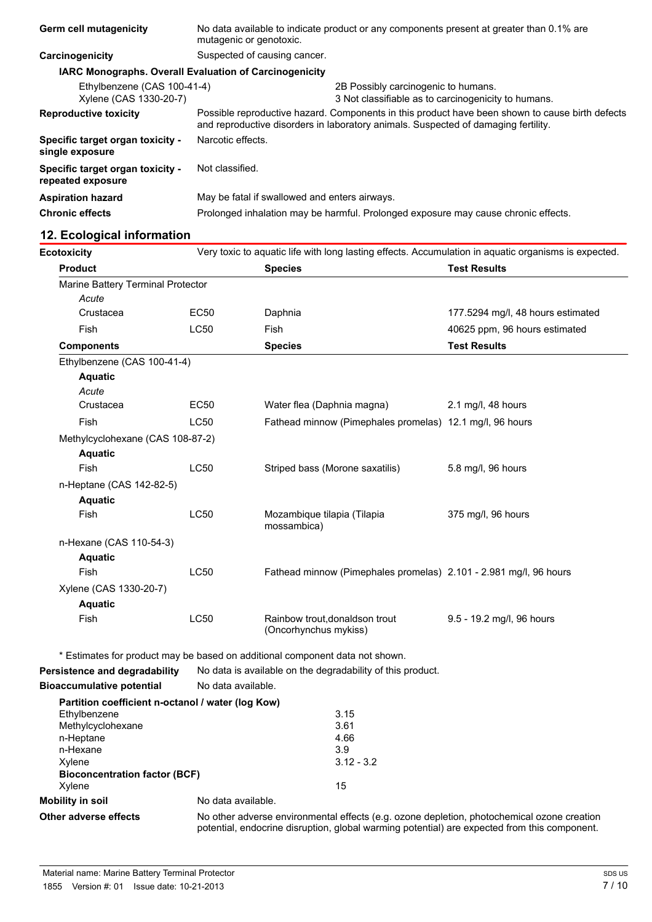| Germ cell mutagenicity                                        | No data available to indicate product or any components present at greater than 0.1% are<br>mutagenic or genotoxic.                                                                   |  |  |
|---------------------------------------------------------------|---------------------------------------------------------------------------------------------------------------------------------------------------------------------------------------|--|--|
| Carcinogenicity                                               | Suspected of causing cancer.                                                                                                                                                          |  |  |
| <b>IARC Monographs. Overall Evaluation of Carcinogenicity</b> |                                                                                                                                                                                       |  |  |
| Ethylbenzene (CAS 100-41-4)<br>Xylene (CAS 1330-20-7)         | 2B Possibly carcinogenic to humans.<br>3 Not classifiable as to carcinogenicity to humans.                                                                                            |  |  |
| <b>Reproductive toxicity</b>                                  | Possible reproductive hazard. Components in this product have been shown to cause birth defects<br>and reproductive disorders in laboratory animals. Suspected of damaging fertility. |  |  |
| Specific target organ toxicity -<br>single exposure           | Narcotic effects.                                                                                                                                                                     |  |  |
| Specific target organ toxicity -<br>repeated exposure         | Not classified.                                                                                                                                                                       |  |  |
| <b>Aspiration hazard</b>                                      | May be fatal if swallowed and enters airways.                                                                                                                                         |  |  |
| <b>Chronic effects</b>                                        | Prolonged inhalation may be harmful. Prolonged exposure may cause chronic effects.                                                                                                    |  |  |

## **12. Ecological information**

| <b>Ecotoxicity</b>                | Very toxic to aquatic life with long lasting effects. Accumulation in aquatic organisms is expected. |                                                                   |                                   |
|-----------------------------------|------------------------------------------------------------------------------------------------------|-------------------------------------------------------------------|-----------------------------------|
| <b>Product</b>                    |                                                                                                      | <b>Species</b>                                                    | <b>Test Results</b>               |
| Marine Battery Terminal Protector |                                                                                                      |                                                                   |                                   |
| Acute                             |                                                                                                      |                                                                   |                                   |
| Crustacea                         | <b>EC50</b>                                                                                          | Daphnia                                                           | 177.5294 mg/l, 48 hours estimated |
| <b>Fish</b>                       | <b>LC50</b>                                                                                          | <b>Fish</b>                                                       | 40625 ppm, 96 hours estimated     |
| <b>Components</b>                 |                                                                                                      | <b>Species</b>                                                    | <b>Test Results</b>               |
| Ethylbenzene (CAS 100-41-4)       |                                                                                                      |                                                                   |                                   |
| <b>Aquatic</b>                    |                                                                                                      |                                                                   |                                   |
| Acute                             |                                                                                                      |                                                                   |                                   |
| Crustacea                         | <b>EC50</b>                                                                                          | Water flea (Daphnia magna)                                        | 2.1 mg/l, 48 hours                |
| <b>Fish</b>                       | <b>LC50</b>                                                                                          | Fathead minnow (Pimephales promelas) 12.1 mg/l, 96 hours          |                                   |
| Methylcyclohexane (CAS 108-87-2)  |                                                                                                      |                                                                   |                                   |
| <b>Aquatic</b>                    |                                                                                                      |                                                                   |                                   |
| Fish                              | <b>LC50</b>                                                                                          | Striped bass (Morone saxatilis)                                   | 5.8 mg/l, 96 hours                |
| n-Heptane (CAS 142-82-5)          |                                                                                                      |                                                                   |                                   |
| <b>Aquatic</b>                    |                                                                                                      |                                                                   |                                   |
| <b>Fish</b>                       | <b>LC50</b>                                                                                          | Mozambique tilapia (Tilapia<br>mossambica)                        | 375 mg/l, 96 hours                |
| n-Hexane (CAS 110-54-3)           |                                                                                                      |                                                                   |                                   |
| <b>Aquatic</b>                    |                                                                                                      |                                                                   |                                   |
| Fish                              | <b>LC50</b>                                                                                          | Fathead minnow (Pimephales promelas) 2.101 - 2.981 mg/l, 96 hours |                                   |
| Xylene (CAS 1330-20-7)            |                                                                                                      |                                                                   |                                   |
| <b>Aquatic</b>                    |                                                                                                      |                                                                   |                                   |
| Fish                              | <b>LC50</b>                                                                                          | Rainbow trout, donaldson trout<br>(Oncorhynchus mykiss)           | 9.5 - 19.2 mg/l, 96 hours         |

\* Estimates for product may be based on additional component data not shown.

**Persistence and degradability** No data is available on the degradability of this product.

| <b>Bioaccumulative potential</b>                                           | No data available. |              |
|----------------------------------------------------------------------------|--------------------|--------------|
| Partition coefficient n-octanol / water (log Kow)                          |                    |              |
| Ethylbenzene                                                               |                    | 3.15         |
| Methylcyclohexane                                                          |                    | 3.61         |
| n-Heptane                                                                  |                    | 4.66         |
| n-Hexane                                                                   |                    | 3.9          |
| Xylene                                                                     |                    | $3.12 - 3.2$ |
| <b>Bioconcentration factor (BCF)</b>                                       |                    |              |
| Xylene                                                                     |                    | 15           |
| <b>Mobility in soil</b>                                                    | No data available. |              |
| No other adverse environmental effects (e.g. ozor<br>Other adverse effects |                    |              |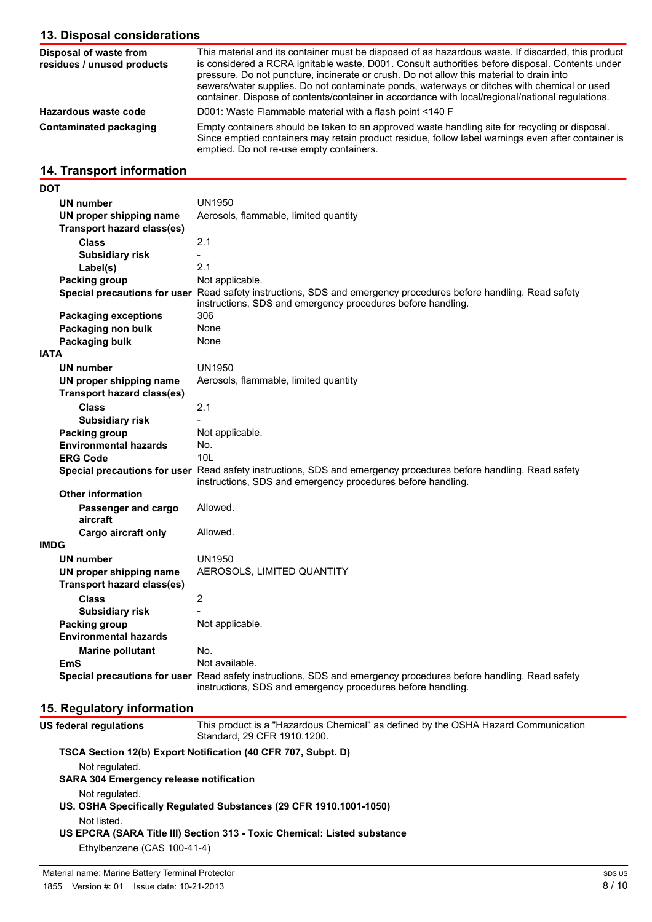## **13. Disposal considerations**

| Disposal of waste from<br>residues / unused products | This material and its container must be disposed of as hazardous waste. If discarded, this product<br>is considered a RCRA ignitable waste, D001. Consult authorities before disposal. Contents under<br>pressure. Do not puncture, incinerate or crush. Do not allow this material to drain into<br>sewers/water supplies. Do not contaminate ponds, waterways or ditches with chemical or used<br>container. Dispose of contents/container in accordance with local/regional/national regulations. |
|------------------------------------------------------|------------------------------------------------------------------------------------------------------------------------------------------------------------------------------------------------------------------------------------------------------------------------------------------------------------------------------------------------------------------------------------------------------------------------------------------------------------------------------------------------------|
| Hazardous waste code                                 | D001: Waste Flammable material with a flash point <140 F                                                                                                                                                                                                                                                                                                                                                                                                                                             |
| Contaminated packaging                               | Empty containers should be taken to an approved waste handling site for recycling or disposal.<br>Since emptied containers may retain product residue, follow label warnings even after container is<br>emptied. Do not re-use empty containers.                                                                                                                                                                                                                                                     |

## **14. Transport information**

| DOT                               |                                                                                                                                                                                 |
|-----------------------------------|---------------------------------------------------------------------------------------------------------------------------------------------------------------------------------|
| <b>UN number</b>                  | <b>UN1950</b>                                                                                                                                                                   |
| UN proper shipping name           | Aerosols, flammable, limited quantity                                                                                                                                           |
| <b>Transport hazard class(es)</b> |                                                                                                                                                                                 |
| <b>Class</b>                      | 2.1                                                                                                                                                                             |
| <b>Subsidiary risk</b>            |                                                                                                                                                                                 |
| Label(s)                          | 2.1                                                                                                                                                                             |
| Packing group                     | Not applicable.                                                                                                                                                                 |
|                                   | Special precautions for user Read safety instructions, SDS and emergency procedures before handling. Read safety<br>instructions, SDS and emergency procedures before handling. |
| <b>Packaging exceptions</b>       | 306                                                                                                                                                                             |
| Packaging non bulk                | None                                                                                                                                                                            |
| Packaging bulk                    | None                                                                                                                                                                            |
| <b>IATA</b>                       |                                                                                                                                                                                 |
| <b>UN number</b>                  | <b>UN1950</b>                                                                                                                                                                   |
| UN proper shipping name           | Aerosols, flammable, limited quantity                                                                                                                                           |
| <b>Transport hazard class(es)</b> |                                                                                                                                                                                 |
| <b>Class</b>                      | 2.1                                                                                                                                                                             |
| <b>Subsidiary risk</b>            |                                                                                                                                                                                 |
| Packing group                     | Not applicable.                                                                                                                                                                 |
| <b>Environmental hazards</b>      | No.                                                                                                                                                                             |
| <b>ERG Code</b>                   | 10I                                                                                                                                                                             |
|                                   | Special precautions for user Read safety instructions, SDS and emergency procedures before handling. Read safety<br>instructions, SDS and emergency procedures before handling. |
| <b>Other information</b>          |                                                                                                                                                                                 |
| Passenger and cargo<br>aircraft   | Allowed.                                                                                                                                                                        |
| Cargo aircraft only               | Allowed.                                                                                                                                                                        |
| <b>IMDG</b>                       |                                                                                                                                                                                 |
| <b>UN number</b>                  | UN1950                                                                                                                                                                          |
| UN proper shipping name           | AEROSOLS, LIMITED QUANTITY                                                                                                                                                      |
| <b>Transport hazard class(es)</b> |                                                                                                                                                                                 |
| <b>Class</b>                      | $\overline{2}$                                                                                                                                                                  |
| <b>Subsidiary risk</b>            |                                                                                                                                                                                 |
| Packing group                     | Not applicable.                                                                                                                                                                 |
| <b>Environmental hazards</b>      |                                                                                                                                                                                 |
| <b>Marine pollutant</b>           | No.                                                                                                                                                                             |
| <b>EmS</b>                        | Not available.                                                                                                                                                                  |
|                                   | Special precautions for user Read safety instructions, SDS and emergency procedures before handling. Read safety<br>instructions, SDS and emergency procedures before handling. |

## **15. Regulatory information**

| <b>US federal regulations</b>                  | This product is a "Hazardous Chemical" as defined by the OSHA Hazard Communication<br>Standard, 29 CFR 1910.1200. |
|------------------------------------------------|-------------------------------------------------------------------------------------------------------------------|
|                                                | TSCA Section 12(b) Export Notification (40 CFR 707, Subpt. D)                                                     |
| Not regulated.                                 |                                                                                                                   |
| <b>SARA 304 Emergency release notification</b> |                                                                                                                   |
| Not regulated.                                 |                                                                                                                   |
|                                                | US. OSHA Specifically Regulated Substances (29 CFR 1910.1001-1050)                                                |
| Not listed.                                    |                                                                                                                   |
|                                                | US EPCRA (SARA Title III) Section 313 - Toxic Chemical: Listed substance                                          |
| Ethylbenzene (CAS 100-41-4)                    |                                                                                                                   |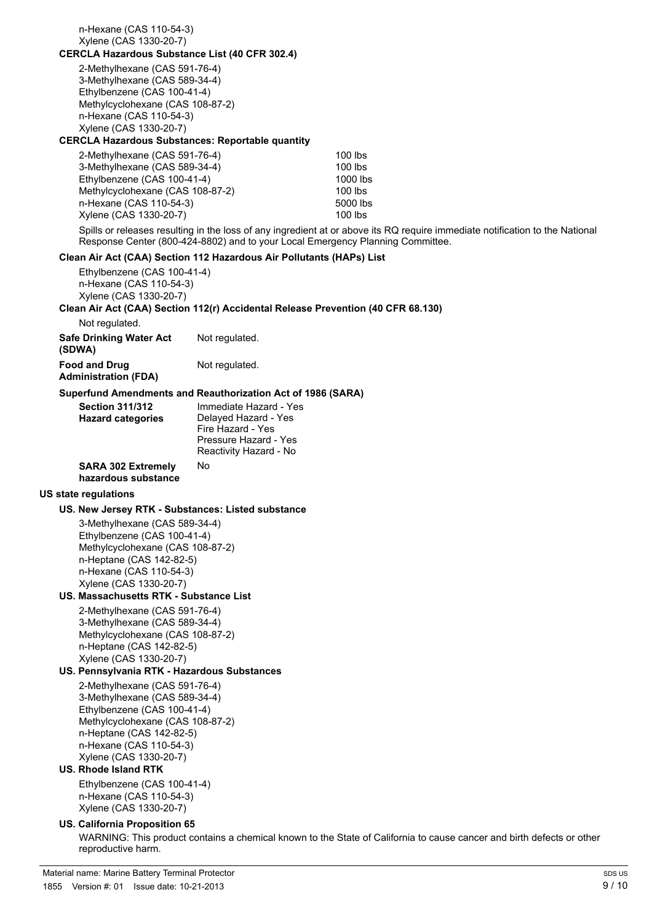| n-Hexane (CAS 110-54-3)<br>Xylene (CAS 1330-20-7)                                                                                                                                                                                                 |                                                                                                                        |                                                                                                                              |
|---------------------------------------------------------------------------------------------------------------------------------------------------------------------------------------------------------------------------------------------------|------------------------------------------------------------------------------------------------------------------------|------------------------------------------------------------------------------------------------------------------------------|
| <b>CERCLA Hazardous Substance List (40 CFR 302.4)</b>                                                                                                                                                                                             |                                                                                                                        |                                                                                                                              |
| 2-Methylhexane (CAS 591-76-4)<br>3-Methylhexane (CAS 589-34-4)<br>Ethylbenzene (CAS 100-41-4)<br>Methylcyclohexane (CAS 108-87-2)<br>n-Hexane (CAS 110-54-3)<br>Xylene (CAS 1330-20-7)<br><b>CERCLA Hazardous Substances: Reportable quantity</b> |                                                                                                                        |                                                                                                                              |
| 2-Methylhexane (CAS 591-76-4)                                                                                                                                                                                                                     |                                                                                                                        | $100$ lbs                                                                                                                    |
| 3-Methylhexane (CAS 589-34-4)<br>Ethylbenzene (CAS 100-41-4)<br>Methylcyclohexane (CAS 108-87-2)<br>n-Hexane (CAS 110-54-3)<br>Xylene (CAS 1330-20-7)                                                                                             |                                                                                                                        | 100 lbs<br>1000 lbs<br>100 lbs<br>5000 lbs<br>100 lbs                                                                        |
|                                                                                                                                                                                                                                                   | Response Center (800-424-8802) and to your Local Emergency Planning Committee.                                         | Spills or releases resulting in the loss of any ingredient at or above its RQ require immediate notification to the National |
| Clean Air Act (CAA) Section 112 Hazardous Air Pollutants (HAPs) List                                                                                                                                                                              |                                                                                                                        |                                                                                                                              |
| Ethylbenzene (CAS 100-41-4)<br>n-Hexane (CAS 110-54-3)<br>Xylene (CAS 1330-20-7)                                                                                                                                                                  |                                                                                                                        |                                                                                                                              |
| Clean Air Act (CAA) Section 112(r) Accidental Release Prevention (40 CFR 68.130)                                                                                                                                                                  |                                                                                                                        |                                                                                                                              |
| Not regulated.                                                                                                                                                                                                                                    |                                                                                                                        |                                                                                                                              |
| <b>Safe Drinking Water Act</b><br>(SDWA)                                                                                                                                                                                                          | Not regulated.                                                                                                         |                                                                                                                              |
| <b>Food and Drug</b><br><b>Administration (FDA)</b>                                                                                                                                                                                               | Not regulated.                                                                                                         |                                                                                                                              |
| Superfund Amendments and Reauthorization Act of 1986 (SARA)<br><b>Section 311/312</b><br><b>Hazard categories</b>                                                                                                                                 | Immediate Hazard - Yes<br>Delayed Hazard - Yes<br>Fire Hazard - Yes<br>Pressure Hazard - Yes<br>Reactivity Hazard - No |                                                                                                                              |
| <b>SARA 302 Extremely</b><br>hazardous substance                                                                                                                                                                                                  | No                                                                                                                     |                                                                                                                              |
| US state regulations                                                                                                                                                                                                                              |                                                                                                                        |                                                                                                                              |
| US. New Jersey RTK - Substances: Listed substance                                                                                                                                                                                                 |                                                                                                                        |                                                                                                                              |
| 3-Methylhexane (CAS 589-34-4)<br>Ethylbenzene (CAS 100-41-4)<br>Methylcyclohexane (CAS 108-87-2)<br>n-Heptane (CAS 142-82-5)<br>n-Hexane (CAS 110-54-3)<br>Xylene (CAS 1330-20-7)                                                                 |                                                                                                                        |                                                                                                                              |
| US. Massachusetts RTK - Substance List                                                                                                                                                                                                            |                                                                                                                        |                                                                                                                              |
| 2-Methylhexane (CAS 591-76-4)<br>3-Methylhexane (CAS 589-34-4)<br>Methylcyclohexane (CAS 108-87-2)<br>n-Heptane (CAS 142-82-5)<br>Xylene (CAS 1330-20-7)                                                                                          |                                                                                                                        |                                                                                                                              |
| US. Pennsylvania RTK - Hazardous Substances                                                                                                                                                                                                       |                                                                                                                        |                                                                                                                              |
| 2-Methylhexane (CAS 591-76-4)<br>3-Methylhexane (CAS 589-34-4)<br>Ethylbenzene (CAS 100-41-4)<br>Methylcyclohexane (CAS 108-87-2)<br>n-Heptane (CAS 142-82-5)<br>n-Hexane (CAS 110-54-3)<br>Xylene (CAS 1330-20-7)                                |                                                                                                                        |                                                                                                                              |
| <b>US. Rhode Island RTK</b>                                                                                                                                                                                                                       |                                                                                                                        |                                                                                                                              |
| Ethylbenzene (CAS 100-41-4)<br>n-Hexane (CAS 110-54-3)<br>Xylene (CAS 1330-20-7)                                                                                                                                                                  |                                                                                                                        |                                                                                                                              |
| US. California Proposition 65<br>reproductive harm.                                                                                                                                                                                               |                                                                                                                        | WARNING: This product contains a chemical known to the State of California to cause cancer and birth defects or other        |